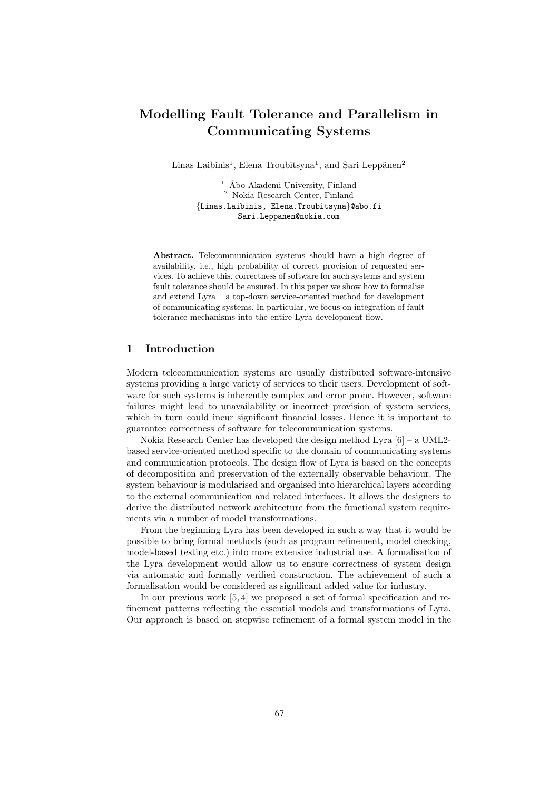# Modelling Fault Tolerance and Parallelism in Communicating Systems

Linas Laibinis<sup>1</sup>, Elena Troubitsyna<sup>1</sup>, and Sari Leppänen<sup>2</sup>

 $1 \text{ Å}$ bo Akademi University, Finland <sup>2</sup> Nokia Research Center, Finland {Linas.Laibinis, Elena.Troubitsyna}@abo.fi Sari.Leppanen@nokia.com

Abstract. Telecommunication systems should have a high degree of availability, i.e., high probability of correct provision of requested services. To achieve this, correctness of software for such systems and system fault tolerance should be ensured. In this paper we show how to formalise and extend Lyra – a top-down service-oriented method for development of communicating systems. In particular, we focus on integration of fault tolerance mechanisms into the entire Lyra development flow.

# 1 Introduction

Modern telecommunication systems are usually distributed software-intensive systems providing a large variety of services to their users. Development of software for such systems is inherently complex and error prone. However, software failures might lead to unavailability or incorrect provision of system services, which in turn could incur significant financial losses. Hence it is important to guarantee correctness of software for telecommunication systems.

Nokia Research Center has developed the design method Lyra  $[6]$  – a UML2based service-oriented method specific to the domain of communicating systems and communication protocols. The design flow of Lyra is based on the concepts of decomposition and preservation of the externally observable behaviour. The system behaviour is modularised and organised into hierarchical layers according to the external communication and related interfaces. It allows the designers to derive the distributed network architecture from the functional system requirements via a number of model transformations.

From the beginning Lyra has been developed in such a way that it would be possible to bring formal methods (such as program refinement, model checking, model-based testing etc.) into more extensive industrial use. A formalisation of the Lyra development would allow us to ensure correctness of system design via automatic and formally verified construction. The achievement of such a formalisation would be considered as significant added value for industry.

In our previous work [5, 4] we proposed a set of formal specification and refinement patterns reflecting the essential models and transformations of Lyra. Our approach is based on stepwise refinement of a formal system model in the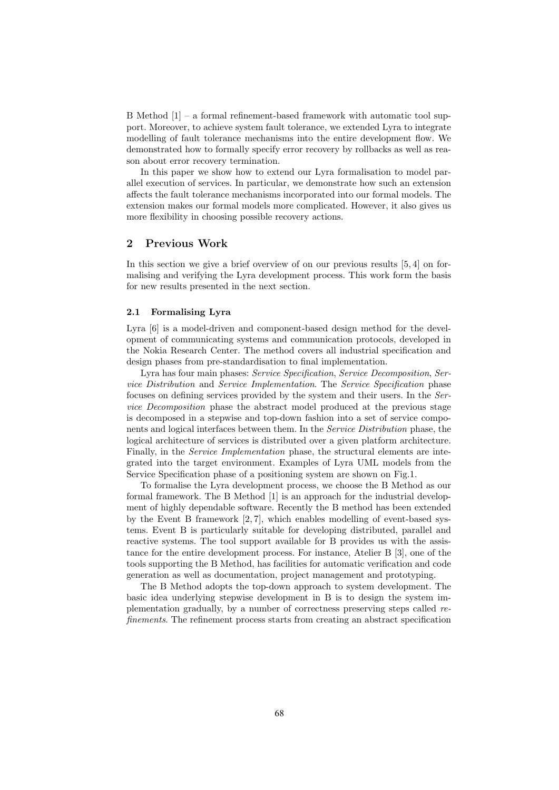B Method  $[1]$  – a formal refinement-based framework with automatic tool support. Moreover, to achieve system fault tolerance, we extended Lyra to integrate modelling of fault tolerance mechanisms into the entire development flow. We demonstrated how to formally specify error recovery by rollbacks as well as reason about error recovery termination.

In this paper we show how to extend our Lyra formalisation to model parallel execution of services. In particular, we demonstrate how such an extension affects the fault tolerance mechanisms incorporated into our formal models. The extension makes our formal models more complicated. However, it also gives us more flexibility in choosing possible recovery actions.

# 2 Previous Work

In this section we give a brief overview of on our previous results [5, 4] on formalising and verifying the Lyra development process. This work form the basis for new results presented in the next section.

#### 2.1 Formalising Lyra

Lyra [6] is a model-driven and component-based design method for the development of communicating systems and communication protocols, developed in the Nokia Research Center. The method covers all industrial specification and design phases from pre-standardisation to final implementation.

Lyra has four main phases: Service Specification, Service Decomposition, Service Distribution and Service Implementation. The Service Specification phase focuses on defining services provided by the system and their users. In the Service Decomposition phase the abstract model produced at the previous stage is decomposed in a stepwise and top-down fashion into a set of service components and logical interfaces between them. In the Service Distribution phase, the logical architecture of services is distributed over a given platform architecture. Finally, in the *Service Implementation* phase, the structural elements are integrated into the target environment. Examples of Lyra UML models from the Service Specification phase of a positioning system are shown on Fig.1.

To formalise the Lyra development process, we choose the B Method as our formal framework. The B Method [1] is an approach for the industrial development of highly dependable software. Recently the B method has been extended by the Event B framework  $[2, 7]$ , which enables modelling of event-based systems. Event B is particularly suitable for developing distributed, parallel and reactive systems. The tool support available for B provides us with the assistance for the entire development process. For instance, Atelier B [3], one of the tools supporting the B Method, has facilities for automatic verification and code generation as well as documentation, project management and prototyping.

The B Method adopts the top-down approach to system development. The basic idea underlying stepwise development in B is to design the system implementation gradually, by a number of correctness preserving steps called refinements. The refinement process starts from creating an abstract specification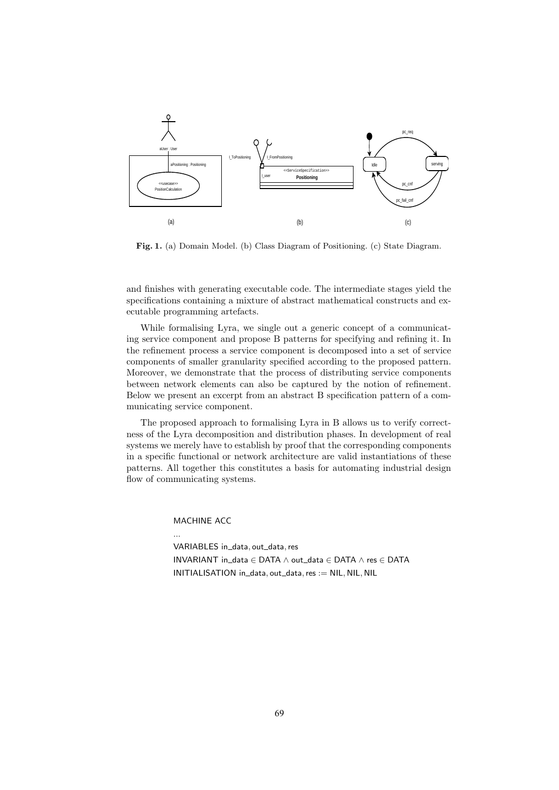

Fig. 1. (a) Domain Model. (b) Class Diagram of Positioning. (c) State Diagram.

and finishes with generating executable code. The intermediate stages yield the specifications containing a mixture of abstract mathematical constructs and executable programming artefacts.

While formalising Lyra, we single out a generic concept of a communicating service component and propose B patterns for specifying and refining it. In the refinement process a service component is decomposed into a set of service components of smaller granularity specified according to the proposed pattern. Moreover, we demonstrate that the process of distributing service components between network elements can also be captured by the notion of refinement. Below we present an excerpt from an abstract B specification pattern of a communicating service component.

The proposed approach to formalising Lyra in B allows us to verify correctness of the Lyra decomposition and distribution phases. In development of real systems we merely have to establish by proof that the corresponding components in a specific functional or network architecture are valid instantiations of these patterns. All together this constitutes a basis for automating industrial design flow of communicating systems.

MACHINE ACC

...

VARIABLES in\_data, out\_data, res INVARIANT in data ∈ DATA ∧ out data ∈ DATA ∧ res ∈ DATA INITIALISATION in\_data, out\_data, res := NIL, NIL, NIL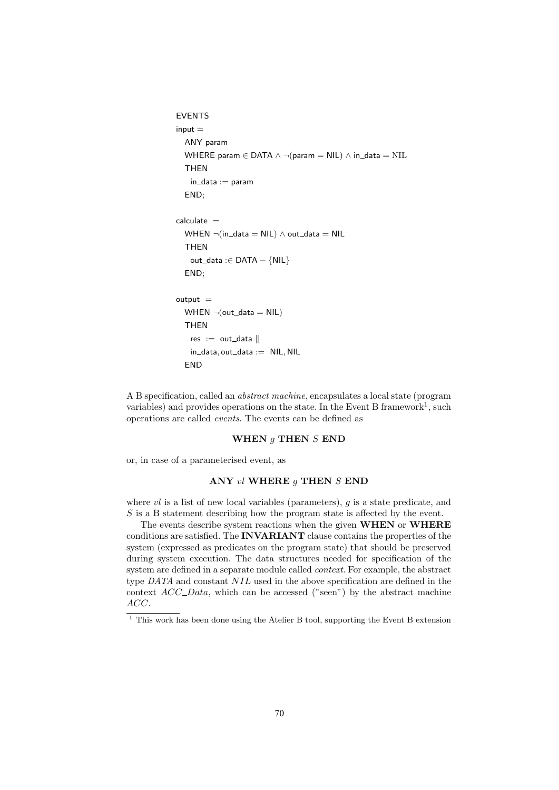```
EVENTS
input =ANY param
  WHERE param \in DATA \wedge \neg(param = NIL) \wedge in_data = NIL
  THEN
   in\_data := param
  END;
calcalculate =WHEN \neg(in_data = NIL) \land out_data = NIL
  THEN
   out_data :∈ DATA - {NIL}
  END;
output =WHEN \neg(\text{out\_data} = \text{NIL})THEN
   res := out_data ||in\_data, out\_data := NIL, NIL
  END
```
A B specification, called an abstract machine, encapsulates a local state (program variables) and provides operations on the state. In the Event B framework<sup>1</sup>, such operations are called events. The events can be defined as

#### WHEN  $g$  THEN  $S$  END

or, in case of a parameterised event, as

## ANY  $vl$  WHERE  $q$  THEN  $S$  END

where  $vl$  is a list of new local variables (parameters),  $q$  is a state predicate, and  $S$  is a B statement describing how the program state is affected by the event.

The events describe system reactions when the given WHEN or WHERE conditions are satisfied. The INVARIANT clause contains the properties of the system (expressed as predicates on the program state) that should be preserved during system execution. The data structures needed for specification of the system are defined in a separate module called context. For example, the abstract type DATA and constant NIL used in the above specification are defined in the context  $ACC\_Data$ , which can be accessed ("seen") by the abstract machine ACC.

 $^{\rm 1}$  This work has been done using the Atelier B tool, supporting the Event B extension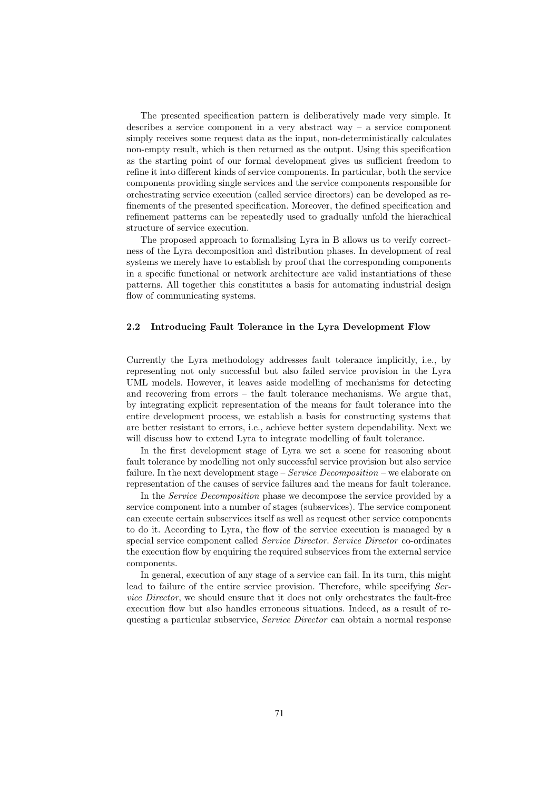The presented specification pattern is deliberatively made very simple. It describes a service component in a very abstract way – a service component simply receives some request data as the input, non-deterministically calculates non-empty result, which is then returned as the output. Using this specification as the starting point of our formal development gives us sufficient freedom to refine it into different kinds of service components. In particular, both the service components providing single services and the service components responsible for orchestrating service execution (called service directors) can be developed as refinements of the presented specification. Moreover, the defined specification and refinement patterns can be repeatedly used to gradually unfold the hierachical structure of service execution.

The proposed approach to formalising Lyra in B allows us to verify correctness of the Lyra decomposition and distribution phases. In development of real systems we merely have to establish by proof that the corresponding components in a specific functional or network architecture are valid instantiations of these patterns. All together this constitutes a basis for automating industrial design flow of communicating systems.

#### 2.2 Introducing Fault Tolerance in the Lyra Development Flow

Currently the Lyra methodology addresses fault tolerance implicitly, i.e., by representing not only successful but also failed service provision in the Lyra UML models. However, it leaves aside modelling of mechanisms for detecting and recovering from errors – the fault tolerance mechanisms. We argue that, by integrating explicit representation of the means for fault tolerance into the entire development process, we establish a basis for constructing systems that are better resistant to errors, i.e., achieve better system dependability. Next we will discuss how to extend Lyra to integrate modelling of fault tolerance.

In the first development stage of Lyra we set a scene for reasoning about fault tolerance by modelling not only successful service provision but also service failure. In the next development stage – Service Decomposition – we elaborate on representation of the causes of service failures and the means for fault tolerance.

In the Service Decomposition phase we decompose the service provided by a service component into a number of stages (subservices). The service component can execute certain subservices itself as well as request other service components to do it. According to Lyra, the flow of the service execution is managed by a special service component called Service Director. Service Director co-ordinates the execution flow by enquiring the required subservices from the external service components.

In general, execution of any stage of a service can fail. In its turn, this might lead to failure of the entire service provision. Therefore, while specifying Service Director, we should ensure that it does not only orchestrates the fault-free execution flow but also handles erroneous situations. Indeed, as a result of requesting a particular subservice, Service Director can obtain a normal response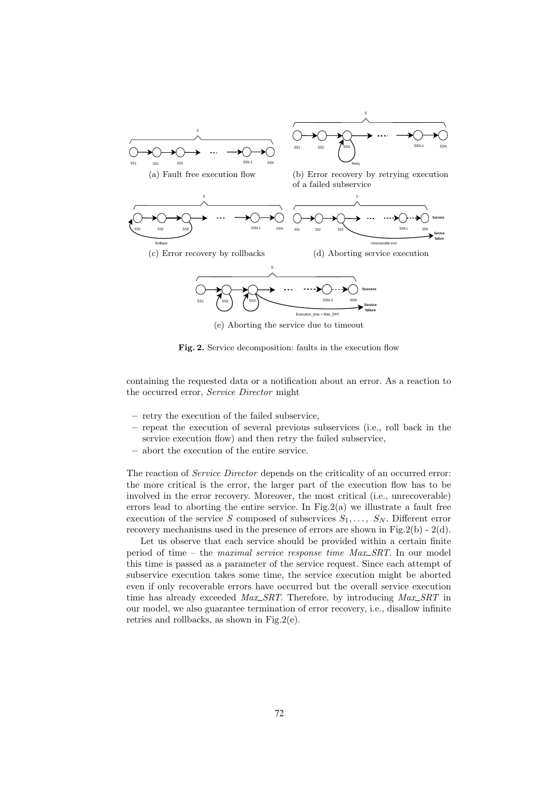

Fig. 2. Service decomposition: faults in the execution flow

containing the requested data or a notification about an error. As a reaction to the occurred error, Service Director might

- retry the execution of the failed subservice,
- repeat the execution of several previous subservices (i.e., roll back in the service execution flow) and then retry the failed subservice,
- abort the execution of the entire service.

The reaction of *Service Director* depends on the criticality of an occurred error: the more critical is the error, the larger part of the execution flow has to be involved in the error recovery. Moreover, the most critical (i.e., unrecoverable) errors lead to aborting the entire service. In Fig.2(a) we illustrate a fault free execution of the service S composed of subservices  $S_1, \ldots, S_N$ . Different error recovery mechanisms used in the presence of errors are shown in Fig.2(b) -  $2(d)$ .

Let us observe that each service should be provided within a certain finite period of time – the maximal service response time Max SRT. In our model this time is passed as a parameter of the service request. Since each attempt of subservice execution takes some time, the service execution might be aborted even if only recoverable errors have occurred but the overall service execution time has already exceeded Max\_SRT. Therefore, by introducing Max\_SRT in our model, we also guarantee termination of error recovery, i.e., disallow infinite retries and rollbacks, as shown in Fig.2(e).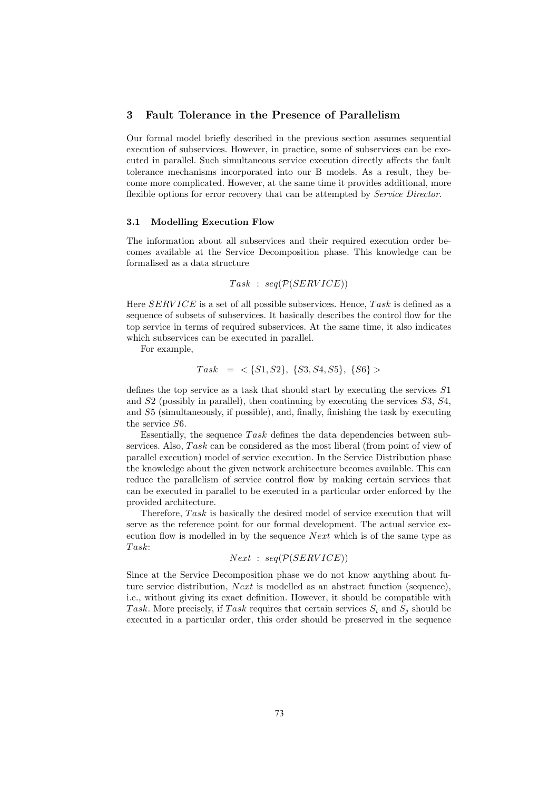#### 3 Fault Tolerance in the Presence of Parallelism

Our formal model briefly described in the previous section assumes sequential execution of subservices. However, in practice, some of subservices can be executed in parallel. Such simultaneous service execution directly affects the fault tolerance mechanisms incorporated into our B models. As a result, they become more complicated. However, at the same time it provides additional, more flexible options for error recovery that can be attempted by *Service Director*.

#### 3.1 Modelling Execution Flow

The information about all subservices and their required execution order becomes available at the Service Decomposition phase. This knowledge can be formalised as a data structure

$$
Task \, : \, seq(\mathcal{P}(SERVICE))
$$

Here  $SERVICE$  is a set of all possible subservices. Hence,  $Task$  is defined as a sequence of subsets of subservices. It basically describes the control flow for the top service in terms of required subservices. At the same time, it also indicates which subservices can be executed in parallel.

For example,

$$
Task = \langle \{S1, S2\}, \{S3, S4, S5\}, \{S6\} \rangle
$$

defines the top service as a task that should start by executing the services S1 and  $S2$  (possibly in parallel), then continuing by executing the services  $S3, S4$ , and S5 (simultaneously, if possible), and, finally, finishing the task by executing the service S6.

Essentially, the sequence  $Task$  defines the data dependencies between subservices. Also, Task can be considered as the most liberal (from point of view of parallel execution) model of service execution. In the Service Distribution phase the knowledge about the given network architecture becomes available. This can reduce the parallelism of service control flow by making certain services that can be executed in parallel to be executed in a particular order enforced by the provided architecture.

Therefore, Task is basically the desired model of service execution that will serve as the reference point for our formal development. The actual service execution flow is modelled in by the sequence Next which is of the same type as Task:

$$
Next : seq(P(SERVICE))
$$

Since at the Service Decomposition phase we do not know anything about future service distribution, Next is modelled as an abstract function (sequence), i.e., without giving its exact definition. However, it should be compatible with Task. More precisely, if Task requires that certain services  $S_i$  and  $S_j$  should be executed in a particular order, this order should be preserved in the sequence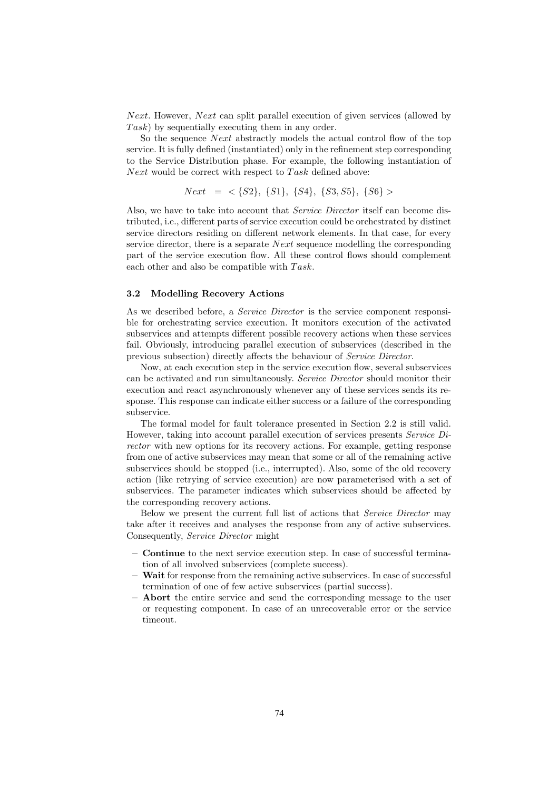Next. However, Next can split parallel execution of given services (allowed by Task) by sequentially executing them in any order.

So the sequence Next abstractly models the actual control flow of the top service. It is fully defined (instantiated) only in the refinement step corresponding to the Service Distribution phase. For example, the following instantiation of Next would be correct with respect to  $Task$  defined above:

$$
Next = \langle \{S2\}, \{S1\}, \{S4\}, \{S3, S5\}, \{S6\} \rangle
$$

Also, we have to take into account that Service Director itself can become distributed, i.e., different parts of service execution could be orchestrated by distinct service directors residing on different network elements. In that case, for every service director, there is a separate *Next* sequence modelling the corresponding part of the service execution flow. All these control flows should complement each other and also be compatible with  $Task$ .

### 3.2 Modelling Recovery Actions

As we described before, a Service Director is the service component responsible for orchestrating service execution. It monitors execution of the activated subservices and attempts different possible recovery actions when these services fail. Obviously, introducing parallel execution of subservices (described in the previous subsection) directly affects the behaviour of Service Director.

Now, at each execution step in the service execution flow, several subservices can be activated and run simultaneously. Service Director should monitor their execution and react asynchronously whenever any of these services sends its response. This response can indicate either success or a failure of the corresponding subservice.

The formal model for fault tolerance presented in Section 2.2 is still valid. However, taking into account parallel execution of services presents Service Director with new options for its recovery actions. For example, getting response from one of active subservices may mean that some or all of the remaining active subservices should be stopped (i.e., interrupted). Also, some of the old recovery action (like retrying of service execution) are now parameterised with a set of subservices. The parameter indicates which subservices should be affected by the corresponding recovery actions.

Below we present the current full list of actions that Service Director may take after it receives and analyses the response from any of active subservices. Consequently, Service Director might

- Continue to the next service execution step. In case of successful termination of all involved subservices (complete success).
- Wait for response from the remaining active subservices. In case of successful termination of one of few active subservices (partial success).
- Abort the entire service and send the corresponding message to the user or requesting component. In case of an unrecoverable error or the service timeout.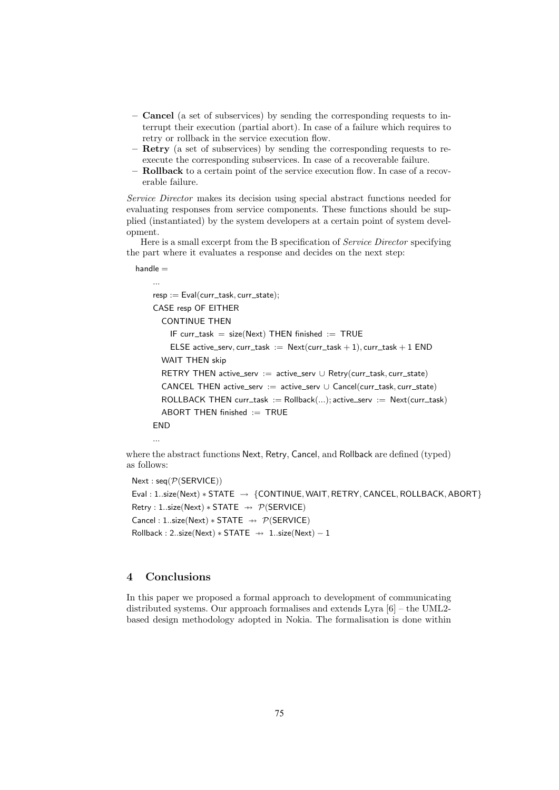- Cancel (a set of subservices) by sending the corresponding requests to interrupt their execution (partial abort). In case of a failure which requires to retry or rollback in the service execution flow.
- Retry (a set of subservices) by sending the corresponding requests to reexecute the corresponding subservices. In case of a recoverable failure.
- Rollback to a certain point of the service execution flow. In case of a recoverable failure.

Service Director makes its decision using special abstract functions needed for evaluating responses from service components. These functions should be supplied (instantiated) by the system developers at a certain point of system development.

Here is a small excerpt from the B specification of Service Director specifying the part where it evaluates a response and decides on the next step:

```
handle =...
    resp := \text{Eval}(\text{curr\_task}, \text{curr\_state});CASE resp OF EITHER
      CONTINUE THEN
         IF curr_task = size(Next) THEN finished := TRUE
         ELSE active_serv, curr_task := Next(curr\_task + 1), curr\_task + 1 ENDWAIT THEN skip
      RETRY THEN active_serv := active_serv \cup Retry(curr_task, curr_state)
      CANCEL THEN active_serv := active_serv \cup Cancel(curr_task, curr_state)
      ROLLBACK THEN curr_task := Rollback(...); active_serv := Next(curr\_task)ABORT THEN finished := TRUE
    FND
    ...
```
where the abstract functions Next, Retry, Cancel, and Rollback are defined (typed) as follows:

```
Next: seq(\mathcal{P}(SERVICE))Eval : 1..size(Next) ∗ STATE → {CONTINUE, WAIT, RETRY, CANCEL, ROLLBACK,ABORT}
Retry : 1..size(Next) * STATE \rightarrow P(SERVICE)
Cancel : 1..size(Next) * STATE \rightarrow P(SERVICE)
Rollback : 2..size(Next) * STATE \rightarrow 1..size(Next) – 1
```
## 4 Conclusions

In this paper we proposed a formal approach to development of communicating distributed systems. Our approach formalises and extends Lyra [6] – the UML2 based design methodology adopted in Nokia. The formalisation is done within